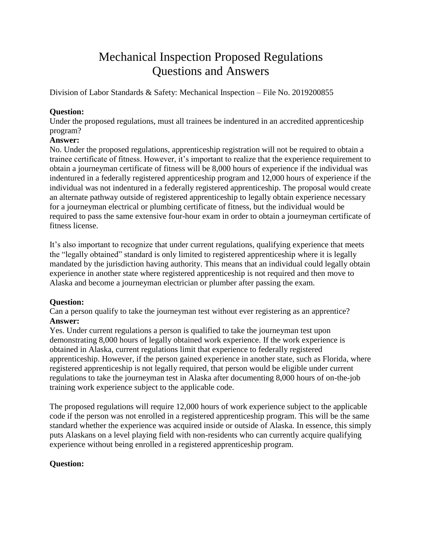# Mechanical Inspection Proposed Regulations Questions and Answers

Division of Labor Standards & Safety: Mechanical Inspection – File No. 2019200855

# **Question:**

Under the proposed regulations, must all trainees be indentured in an accredited apprenticeship program?

# **Answer:**

No. Under the proposed regulations, apprenticeship registration will not be required to obtain a trainee certificate of fitness. However, it's important to realize that the experience requirement to obtain a journeyman certificate of fitness will be 8,000 hours of experience if the individual was indentured in a federally registered apprenticeship program and 12,000 hours of experience if the individual was not indentured in a federally registered apprenticeship. The proposal would create an alternate pathway outside of registered apprenticeship to legally obtain experience necessary for a journeyman electrical or plumbing certificate of fitness, but the individual would be required to pass the same extensive four-hour exam in order to obtain a journeyman certificate of fitness license.

It's also important to recognize that under current regulations, qualifying experience that meets the "legally obtained" standard is only limited to registered apprenticeship where it is legally mandated by the jurisdiction having authority. This means that an individual could legally obtain experience in another state where registered apprenticeship is not required and then move to Alaska and become a journeyman electrician or plumber after passing the exam.

# **Question:**

Can a person qualify to take the journeyman test without ever registering as an apprentice? **Answer:**

Yes. Under current regulations a person is qualified to take the journeyman test upon demonstrating 8,000 hours of legally obtained work experience. If the work experience is obtained in Alaska, current regulations limit that experience to federally registered apprenticeship. However, if the person gained experience in another state, such as Florida, where registered apprenticeship is not legally required, that person would be eligible under current regulations to take the journeyman test in Alaska after documenting 8,000 hours of on-the-job training work experience subject to the applicable code.

The proposed regulations will require 12,000 hours of work experience subject to the applicable code if the person was not enrolled in a registered apprenticeship program. This will be the same standard whether the experience was acquired inside or outside of Alaska. In essence, this simply puts Alaskans on a level playing field with non-residents who can currently acquire qualifying experience without being enrolled in a registered apprenticeship program.

# **Question:**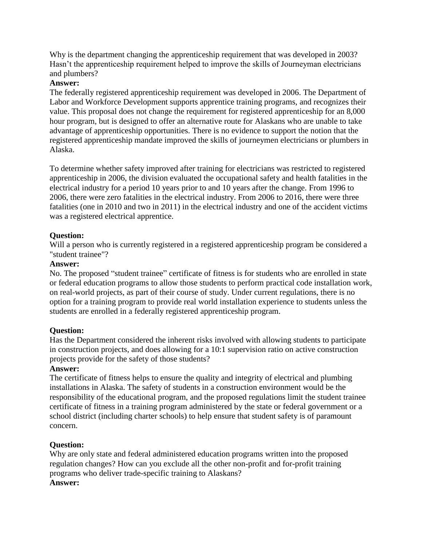Why is the department changing the apprenticeship requirement that was developed in 2003? Hasn't the apprenticeship requirement helped to improve the skills of Journeyman electricians and plumbers?

# **Answer:**

The federally registered apprenticeship requirement was developed in 2006. The Department of Labor and Workforce Development supports apprentice training programs, and recognizes their value. This proposal does not change the requirement for registered apprenticeship for an 8,000 hour program, but is designed to offer an alternative route for Alaskans who are unable to take advantage of apprenticeship opportunities. There is no evidence to support the notion that the registered apprenticeship mandate improved the skills of journeymen electricians or plumbers in Alaska.

To determine whether safety improved after training for electricians was restricted to registered apprenticeship in 2006, the division evaluated the occupational safety and health fatalities in the electrical industry for a period 10 years prior to and 10 years after the change. From 1996 to 2006, there were zero fatalities in the electrical industry. From 2006 to 2016, there were three fatalities (one in 2010 and two in 2011) in the electrical industry and one of the accident victims was a registered electrical apprentice.

# **Question:**

Will a person who is currently registered in a registered apprenticeship program be considered a "student trainee"?

# **Answer:**

No. The proposed "student trainee" certificate of fitness is for students who are enrolled in state or federal education programs to allow those students to perform practical code installation work, on real-world projects, as part of their course of study. Under current regulations, there is no option for a training program to provide real world installation experience to students unless the students are enrolled in a federally registered apprenticeship program.

# **Question:**

Has the Department considered the inherent risks involved with allowing students to participate in construction projects, and does allowing for a 10:1 supervision ratio on active construction projects provide for the safety of those students?

# **Answer:**

The certificate of fitness helps to ensure the quality and integrity of electrical and plumbing installations in Alaska. The safety of students in a construction environment would be the responsibility of the educational program, and the proposed regulations limit the student trainee certificate of fitness in a training program administered by the state or federal government or a school district (including charter schools) to help ensure that student safety is of paramount concern.

# **Question:**

Why are only state and federal administered education programs written into the proposed regulation changes? How can you exclude all the other non-profit and for-profit training programs who deliver trade-specific training to Alaskans?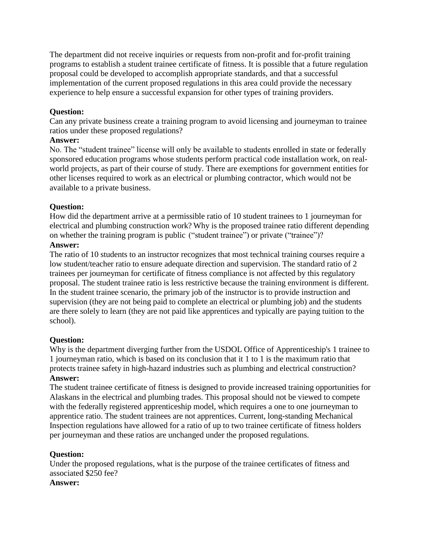The department did not receive inquiries or requests from non-profit and for-profit training programs to establish a student trainee certificate of fitness. It is possible that a future regulation proposal could be developed to accomplish appropriate standards, and that a successful implementation of the current proposed regulations in this area could provide the necessary experience to help ensure a successful expansion for other types of training providers.

# **Question:**

Can any private business create a training program to avoid licensing and journeyman to trainee ratios under these proposed regulations?

# **Answer:**

No. The "student trainee" license will only be available to students enrolled in state or federally sponsored education programs whose students perform practical code installation work, on realworld projects, as part of their course of study. There are exemptions for government entities for other licenses required to work as an electrical or plumbing contractor, which would not be available to a private business.

# **Question:**

How did the department arrive at a permissible ratio of 10 student trainees to 1 journeyman for electrical and plumbing construction work? Why is the proposed trainee ratio different depending on whether the training program is public ("student trainee") or private ("trainee")?

# **Answer:**

The ratio of 10 students to an instructor recognizes that most technical training courses require a low student/teacher ratio to ensure adequate direction and supervision. The standard ratio of 2 trainees per journeyman for certificate of fitness compliance is not affected by this regulatory proposal. The student trainee ratio is less restrictive because the training environment is different. In the student trainee scenario, the primary job of the instructor is to provide instruction and supervision (they are not being paid to complete an electrical or plumbing job) and the students are there solely to learn (they are not paid like apprentices and typically are paying tuition to the school).

# **Question:**

Why is the department diverging further from the USDOL Office of Apprenticeship's 1 trainee to 1 journeyman ratio, which is based on its conclusion that it 1 to 1 is the maximum ratio that protects trainee safety in high-hazard industries such as plumbing and electrical construction? **Answer:**

The student trainee certificate of fitness is designed to provide increased training opportunities for Alaskans in the electrical and plumbing trades. This proposal should not be viewed to compete with the federally registered apprenticeship model, which requires a one to one journeyman to apprentice ratio. The student trainees are not apprentices. Current, long-standing Mechanical Inspection regulations have allowed for a ratio of up to two trainee certificate of fitness holders per journeyman and these ratios are unchanged under the proposed regulations.

# **Question:**

Under the proposed regulations, what is the purpose of the trainee certificates of fitness and associated \$250 fee?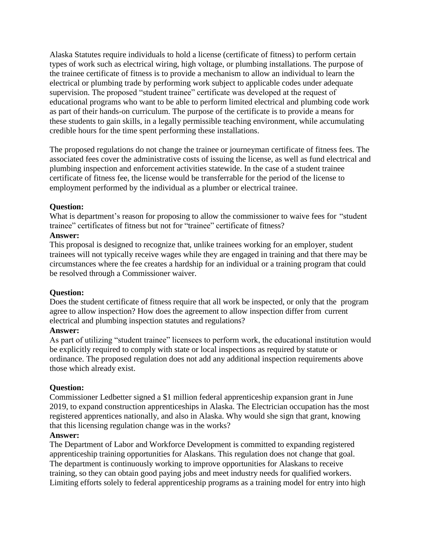Alaska Statutes require individuals to hold a license (certificate of fitness) to perform certain types of work such as electrical wiring, high voltage, or plumbing installations. The purpose of the trainee certificate of fitness is to provide a mechanism to allow an individual to learn the electrical or plumbing trade by performing work subject to applicable codes under adequate supervision. The proposed "student trainee" certificate was developed at the request of educational programs who want to be able to perform limited electrical and plumbing code work as part of their hands-on curriculum. The purpose of the certificate is to provide a means for these students to gain skills, in a legally permissible teaching environment, while accumulating credible hours for the time spent performing these installations.

The proposed regulations do not change the trainee or journeyman certificate of fitness fees. The associated fees cover the administrative costs of issuing the license, as well as fund electrical and plumbing inspection and enforcement activities statewide. In the case of a student trainee certificate of fitness fee, the license would be transferrable for the period of the license to employment performed by the individual as a plumber or electrical trainee.

# **Question:**

What is department's reason for proposing to allow the commissioner to waive fees for "student" trainee" certificates of fitness but not for "trainee" certificate of fitness?

# **Answer:**

This proposal is designed to recognize that, unlike trainees working for an employer, student trainees will not typically receive wages while they are engaged in training and that there may be circumstances where the fee creates a hardship for an individual or a training program that could be resolved through a Commissioner waiver.

# **Question:**

Does the student certificate of fitness require that all work be inspected, or only that the program agree to allow inspection? How does the agreement to allow inspection differ from current electrical and plumbing inspection statutes and regulations?

# **Answer:**

As part of utilizing "student trainee" licensees to perform work, the educational institution would be explicitly required to comply with state or local inspections as required by statute or ordinance. The proposed regulation does not add any additional inspection requirements above those which already exist.

# **Question:**

Commissioner Ledbetter signed a \$1 million federal apprenticeship expansion grant in June 2019, to expand construction apprenticeships in Alaska. The Electrician occupation has the most registered apprentices nationally, and also in Alaska. Why would she sign that grant, knowing that this licensing regulation change was in the works?

# **Answer:**

The Department of Labor and Workforce Development is committed to expanding registered apprenticeship training opportunities for Alaskans. This regulation does not change that goal. The department is continuously working to improve opportunities for Alaskans to receive training, so they can obtain good paying jobs and meet industry needs for qualified workers. Limiting efforts solely to federal apprenticeship programs as a training model for entry into high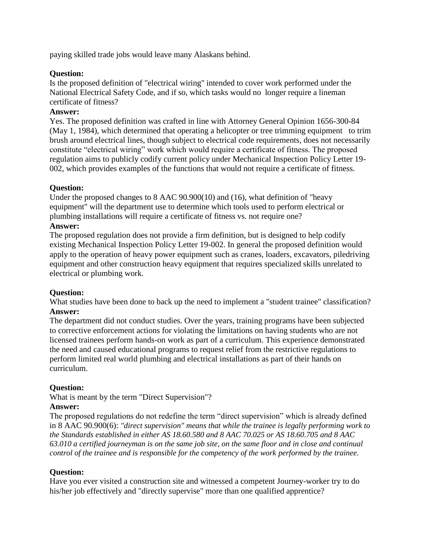paying skilled trade jobs would leave many Alaskans behind.

# **Question:**

Is the proposed definition of "electrical wiring" intended to cover work performed under the National Electrical Safety Code, and if so, which tasks would no longer require a lineman certificate of fitness?

# **Answer:**

Yes. The proposed definition was crafted in line with Attorney General Opinion 1656-300-84 (May 1, 1984), which determined that operating a helicopter or tree trimming equipment to trim brush around electrical lines, though subject to electrical code requirements, does not necessarily constitute "electrical wiring" work which would require a certificate of fitness. The proposed regulation aims to publicly codify current policy under Mechanical Inspection Policy Letter 19- 002, which provides examples of the functions that would not require a certificate of fitness.

# **Question:**

Under the proposed changes to 8 AAC 90.900(10) and (16), what definition of "heavy equipment" will the department use to determine which tools used to perform electrical or plumbing installations will require a certificate of fitness vs. not require one?

# **Answer:**

The proposed regulation does not provide a firm definition, but is designed to help codify existing Mechanical Inspection Policy Letter 19-002. In general the proposed definition would apply to the operation of heavy power equipment such as cranes, loaders, excavators, piledriving equipment and other construction heavy equipment that requires specialized skills unrelated to electrical or plumbing work.

# **Question:**

What studies have been done to back up the need to implement a "student trainee" classification? **Answer:**

The department did not conduct studies. Over the years, training programs have been subjected to corrective enforcement actions for violating the limitations on having students who are not licensed trainees perform hands-on work as part of a curriculum. This experience demonstrated the need and caused educational programs to request relief from the restrictive regulations to perform limited real world plumbing and electrical installations as part of their hands on curriculum.

# **Question:**

What is meant by the term "Direct Supervision"?

# **Answer:**

The proposed regulations do not redefine the term "direct supervision" which is already defined in 8 AAC 90.900(6): *"direct supervision" means that while the trainee is legally performing work to the Standards established in either AS 18.60.580 and 8 AAC 70.025 or AS 18.60.705 and 8 AAC 63.010 a certified journeyman is on the same job site, on the same floor and in close and continual control of the trainee and is responsible for the competency of the work performed by the trainee.*

# **Question:**

Have you ever visited a construction site and witnessed a competent Journey-worker try to do his/her job effectively and "directly supervise" more than one qualified apprentice?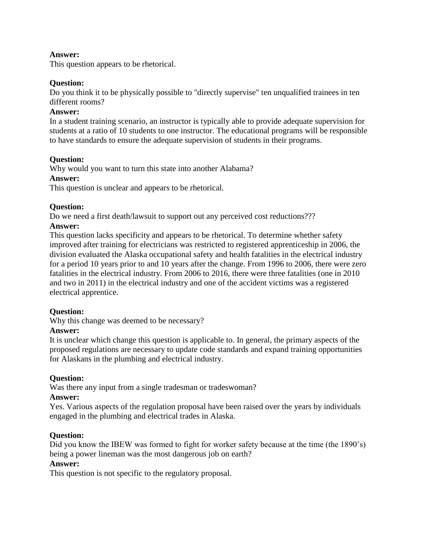# **Answer:**

This question appears to be rhetorical.

# **Question:**

Do you think it to be physically possible to "directly supervise" ten unqualified trainees in ten different rooms?

#### **Answer:**

In a student training scenario, an instructor is typically able to provide adequate supervision for students at a ratio of 10 students to one instructor. The educational programs will be responsible to have standards to ensure the adequate supervision of students in their programs.

#### **Question:**

Why would you want to turn this state into another Alabama?

#### **Answer:**

This question is unclear and appears to be rhetorical.

#### **Question:**

Do we need a first death/lawsuit to support out any perceived cost reductions???

#### **Answer:**

This question lacks specificity and appears to be rhetorical. To determine whether safety improved after training for electricians was restricted to registered apprenticeship in 2006, the division evaluated the Alaska occupational safety and health fatalities in the electrical industry for a period 10 years prior to and 10 years after the change. From 1996 to 2006, there were zero fatalities in the electrical industry. From 2006 to 2016, there were three fatalities (one in 2010 and two in 2011) in the electrical industry and one of the accident victims was a registered electrical apprentice.

# **Question:**

Why this change was deemed to be necessary?

#### **Answer:**

It is unclear which change this question is applicable to. In general, the primary aspects of the proposed regulations are necessary to update code standards and expand training opportunities for Alaskans in the plumbing and electrical industry.

# **Question:**

Was there any input from a single tradesman or tradeswoman?

#### **Answer:**

Yes. Various aspects of the regulation proposal have been raised over the years by individuals engaged in the plumbing and electrical trades in Alaska.

# **Question:**

Did you know the IBEW was formed to fight for worker safety because at the time (the 1890's) being a power lineman was the most dangerous job on earth?

# **Answer:**

This question is not specific to the regulatory proposal.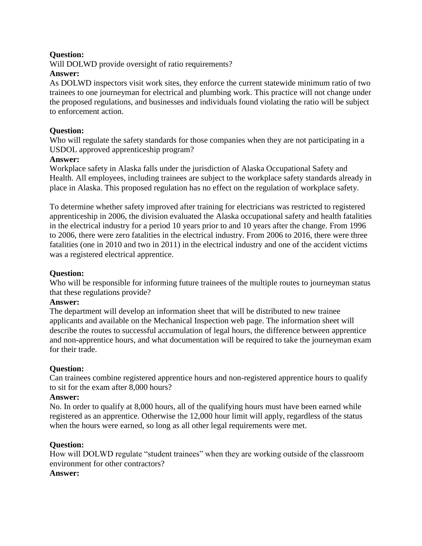# **Question:**

Will DOLWD provide oversight of ratio requirements?

# **Answer:**

As DOLWD inspectors visit work sites, they enforce the current statewide minimum ratio of two trainees to one journeyman for electrical and plumbing work. This practice will not change under the proposed regulations, and businesses and individuals found violating the ratio will be subject to enforcement action.

# **Question:**

Who will regulate the safety standards for those companies when they are not participating in a USDOL approved apprenticeship program?

# **Answer:**

Workplace safety in Alaska falls under the jurisdiction of Alaska Occupational Safety and Health. All employees, including trainees are subject to the workplace safety standards already in place in Alaska. This proposed regulation has no effect on the regulation of workplace safety.

To determine whether safety improved after training for electricians was restricted to registered apprenticeship in 2006, the division evaluated the Alaska occupational safety and health fatalities in the electrical industry for a period 10 years prior to and 10 years after the change. From 1996 to 2006, there were zero fatalities in the electrical industry. From 2006 to 2016, there were three fatalities (one in 2010 and two in 2011) in the electrical industry and one of the accident victims was a registered electrical apprentice.

# **Question:**

Who will be responsible for informing future trainees of the multiple routes to journeyman status that these regulations provide?

# **Answer:**

The department will develop an information sheet that will be distributed to new trainee applicants and available on the Mechanical Inspection web page. The information sheet will describe the routes to successful accumulation of legal hours, the difference between apprentice and non-apprentice hours, and what documentation will be required to take the journeyman exam for their trade.

# **Question:**

Can trainees combine registered apprentice hours and non-registered apprentice hours to qualify to sit for the exam after 8,000 hours?

# **Answer:**

No. In order to qualify at 8,000 hours, all of the qualifying hours must have been earned while registered as an apprentice. Otherwise the 12,000 hour limit will apply, regardless of the status when the hours were earned, so long as all other legal requirements were met.

# **Question:**

How will DOLWD regulate "student trainees" when they are working outside of the classroom environment for other contractors?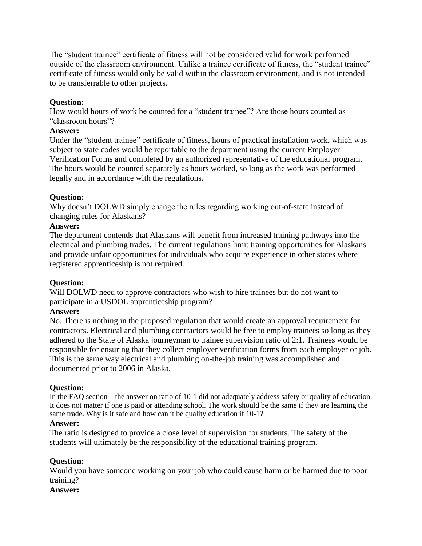The "student trainee" certificate of fitness will not be considered valid for work performed outside of the classroom environment. Unlike a trainee certificate of fitness, the "student trainee" certificate of fitness would only be valid within the classroom environment, and is not intended to be transferrable to other projects.

# **Question:**

How would hours of work be counted for a "student trainee"? Are those hours counted as "classroom hours"?

# **Answer:**

Under the "student trainee" certificate of fitness, hours of practical installation work, which was subject to state codes would be reportable to the department using the current Employer Verification Forms and completed by an authorized representative of the educational program. The hours would be counted separately as hours worked, so long as the work was performed legally and in accordance with the regulations.

# **Question:**

Why doesn't DOLWD simply change the rules regarding working out-of-state instead of changing rules for Alaskans?

# **Answer:**

The department contends that Alaskans will benefit from increased training pathways into the electrical and plumbing trades. The current regulations limit training opportunities for Alaskans and provide unfair opportunities for individuals who acquire experience in other states where registered apprenticeship is not required.

# **Question:**

Will DOLWD need to approve contractors who wish to hire trainees but do not want to participate in a USDOL apprenticeship program?

# **Answer:**

No. There is nothing in the proposed regulation that would create an approval requirement for contractors. Electrical and plumbing contractors would be free to employ trainees so long as they adhered to the State of Alaska journeyman to trainee supervision ratio of 2:1. Trainees would be responsible for ensuring that they collect employer verification forms from each employer or job. This is the same way electrical and plumbing on-the-job training was accomplished and documented prior to 2006 in Alaska.

# **Question:**

In the FAQ section – the answer on ratio of 10-1 did not adequately address safety or quality of education. It does not matter if one is paid or attending school. The work should be the same if they are learning the same trade. Why is it safe and how can it be quality education if 10-1?

# **Answer:**

The ratio is designed to provide a close level of supervision for students. The safety of the students will ultimately be the responsibility of the educational training program.

# **Question:**

Would you have someone working on your job who could cause harm or be harmed due to poor training?